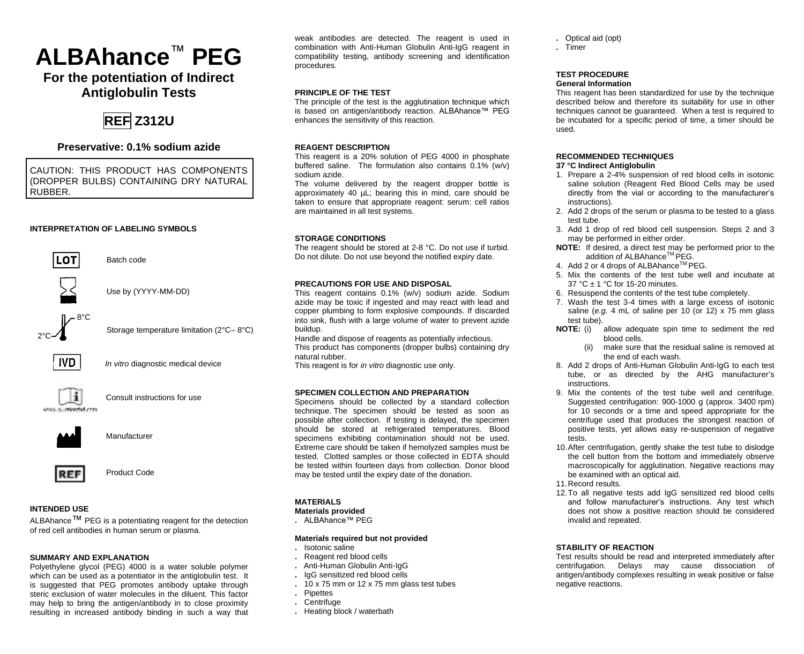# **ALBAhance**™ **PEG**

# **For the potentiation of Indirect Antiglobulin Tests**



## **Preservative: 0.1% sodium azide**

CAUTION: THIS PRODUCT HAS COMPONENTS (DROPPER BULBS) CONTAINING DRY NATURAL RUBBER.

#### **INTERPRETATION OF LABELING SYMBOLS**



Batch code



Use by (YYYY-MM-DD)



Storage temperature limitation (2°C– 8°C)



*In vitro* diagnostic medical device



Consult instructions for use



Manufacturer



### **INTENDED USE**

ALBAhance™ PEG is a potentiating reagent for the detection of red cell antibodies in human serum or plasma.

#### **SUMMARY AND EXPLANATION**

Polyethylene glycol (PEG) 4000 is a water soluble polymer which can be used as a potentiator in the antiglobulin test. It is suggested that PEG promotes antibody uptake through steric exclusion of water molecules in the diluent. This factor may help to bring the antigen/antibody in to close proximity resulting in increased antibody binding in such a way that weak antibodies are detected. The reagent is used in combination with Anti-Human Globulin Anti-IgG reagent in compatibility testing, antibody screening and identification procedures.

#### **PRINCIPLE OF THE TEST**

The principle of the test is the agglutination technique which is based on antigen/antibody reaction. ALBAhance™ PEG enhances the sensitivity of this reaction.

#### **REAGENT DESCRIPTION**

This reagent is a 20% solution of PEG 4000 in phosphate buffered saline. The formulation also contains 0.1% (w/v) sodium azide.

The volume delivered by the reagent dropper bottle is approximately 40 µL; bearing this in mind, care should be taken to ensure that appropriate reagent: serum: cell ratios are maintained in all test systems.

#### **STORAGE CONDITIONS**

The reagent should be stored at 2-8 °C. Do not use if turbid. Do not dilute. Do not use beyond the notified expiry date.

#### **PRECAUTIONS FOR USE AND DISPOSAL**

This reagent contains 0.1% (w/v) sodium azide. Sodium azide may be toxic if ingested and may react with lead and copper plumbing to form explosive compounds. If discarded into sink, flush with a large volume of water to prevent azide buildup.

Handle and dispose of reagents as potentially infectious. This product has components (dropper bulbs) containing dry natural rubber.

This reagent is for *in vitro* diagnostic use only.

#### **SPECIMEN COLLECTION AND PREPARATION**

Specimens should be collected by a standard collection technique. The specimen should be tested as soon as possible after collection. If testing is delayed, the specimen should be stored at refrigerated temperatures. Blood specimens exhibiting contamination should not be used. Extreme care should be taken if hemolyzed samples must be tested. Clotted samples or those collected in EDTA should be tested within fourteen days from collection. Donor blood may be tested until the expiry date of the donation.

#### **MATERIALS**

#### **Materials provided**

**.** ALBAhance™ PEG

#### **Materials required but not provided**

- **.** Isotonic saline
- **.** Reagent red blood cells
- **.** Anti-Human Globulin Anti-IgG
- **.** IgG sensitized red blood cells
- **.** 10 x 75 mm or 12 x 75 mm glass test tubes
- **.** Pipettes
- **.** Centrifuge
- **.** Heating block / waterbath

**.** Optical aid (opt)

**.** Timer

#### **TEST PROCEDURE General Information**

This reagent has been standardized for use by the technique described below and therefore its suitability for use in other techniques cannot be guaranteed. When a test is required to be incubated for a specific period of time, a timer should be used.

#### **RECOMMENDED TECHNIQUES 37 °C Indirect Antiglobulin**

- 1. Prepare a 2-4% suspension of red blood cells in isotonic saline solution (Reagent Red Blood Cells may be used directly from the vial or according to the manufacturer's instructions).
- 2. Add 2 drops of the serum or plasma to be tested to a glass test tube.
- 3. Add 1 drop of red blood cell suspension. Steps 2 and 3 may be performed in either order.
- **NOTE:** If desired, a direct test may be performed prior to the addition of ALBAhance<sup>™</sup> PEG.
- 4. Add 2 or 4 drops of ALBAhance TM PEG.
- 5. Mix the contents of the test tube well and incubate at 37 °C ± 1 °C for 15-20 minutes.
- 6. Resuspend the contents of the test tube completely.
- 7. Wash the test 3-4 times with a large excess of isotonic saline (*e.g.* 4 mL of saline per 10 (or 12) x 75 mm glass test tube).<br>NOTE: (i)
	- allow adequate spin time to sediment the red blood cells.
		- (ii) make sure that the residual saline is removed at the end of each wash.
- 8. Add 2 drops of Anti-Human Globulin Anti-IgG to each test tube, or as directed by the AHG manufacturer's instructions.
- 9. Mix the contents of the test tube well and centrifuge. Suggested centrifugation: 900-1000 g (approx. 3400 rpm) for 10 seconds or a time and speed appropriate for the centrifuge used that produces the strongest reaction of positive tests, yet allows easy re-suspension of negative tests.
- 10.After centrifugation, gently shake the test tube to dislodge the cell button from the bottom and immediately observe macroscopically for agglutination. Negative reactions may be examined with an optical aid.
- 11.Record results.
- 12.To all negative tests add IgG sensitized red blood cells and follow manufacturer's instructions. Any test which does not show a positive reaction should be considered invalid and repeated.

#### **STABILITY OF REACTION**

Test results should be read and interpreted immediately after centrifugation. Delays may cause dissociation of antigen/antibody complexes resulting in weak positive or false negative reactions.